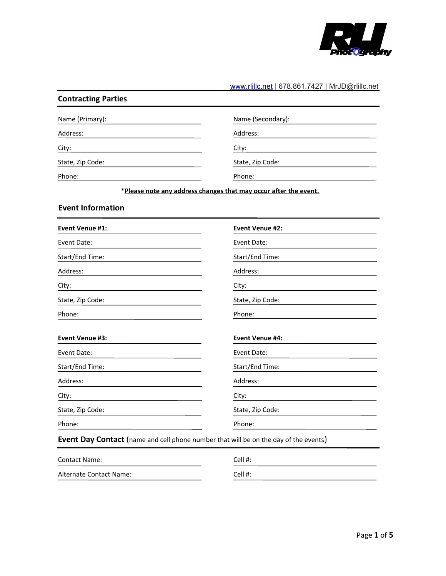

## [www.rlillc.net](http://www.rlillc.net/) | 678.861.7427 | MrJD@rlillc.net

| Name (Primary):          | Name (Secondary):                                                                    |
|--------------------------|--------------------------------------------------------------------------------------|
| Address:                 | Address:                                                                             |
| City:                    | City:                                                                                |
| State, Zip Code:         | State, Zip Code:                                                                     |
| Phone:                   | Phone:                                                                               |
|                          | *Please note any address changes that may occur after the event.                     |
| <b>Event Information</b> |                                                                                      |
| <b>Event Venue #1:</b>   | <b>Event Venue #2:</b>                                                               |
| Event Date:              | Event Date:                                                                          |
| Start/End Time:          | Start/End Time:                                                                      |
| Address:                 | Address:                                                                             |
| City:                    | City:                                                                                |
| State, Zip Code:         | State, Zip Code:                                                                     |
| Phone:                   | Phone:                                                                               |
| <b>Event Venue #3:</b>   | <b>Event Venue #4:</b>                                                               |
| Event Date:              | Event Date:                                                                          |
| Start/End Time:          | Start/End Time:                                                                      |
| Address:                 | Address:                                                                             |
| City:                    | City:                                                                                |
| State, Zip Code:         | State, Zip Code:                                                                     |
| Phone:                   | Phone:                                                                               |
|                          | Event Day Contact (name and cell phone number that will be on the day of the events) |
| <b>Contact Name:</b>     | Cell #:                                                                              |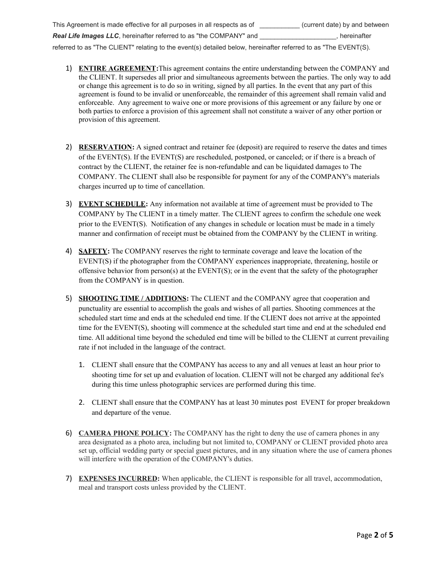- This Agreement is made effective for all purposes in all respects as of \_\_\_\_\_\_\_\_\_\_\_ (current date) by and between **Real Life Images LLC**, hereinafter referred to as "the COMPANY" and \_\_\_\_\_\_\_\_\_\_\_\_\_\_, hereinafter referred to as "The CLIENT" relating to the event(s) detailed below, hereinafter referred to as "The EVENT(S).
	- 1) **ENTIRE AGREEMENT:**This agreement contains the entire understanding between the COMPANY and the CLIENT. It supersedes all prior and simultaneous agreements between the parties. The only way to add or change this agreement is to do so in writing, signed by all parties. In the event that any part of this agreement is found to be invalid or unenforceable, the remainder of this agreement shall remain valid and enforceable. Any agreement to waive one or more provisions of this agreement or any failure by one or both parties to enforce a provision of this agreement shall not constitute a waiver of any other portion or provision of this agreement.
	- 2) **RESERVATION:** A signed contract and retainer fee (deposit) are required to reserve the dates and times of the EVENT(S). If the EVENT(S) are rescheduled, postponed, or canceled; or if there is a breach of contract by the CLIENT, the retainer fee is non-refundable and can be liquidated damages to The COMPANY. The CLIENT shall also be responsible for payment for any of the COMPANY's materials charges incurred up to time of cancellation.
	- 3) **EVENT SCHEDULE:** Any information not available at time of agreement must be provided to The COMPANY by The CLIENT in a timely matter. The CLIENT agrees to confirm the schedule one week prior to the EVENT(S). Notification of any changes in schedule or location must be made in a timely manner and confirmation of receipt must be obtained from the COMPANY by the CLIENT in writing.
	- 4) **SAFETY:** The COMPANY reserves the right to terminate coverage and leave the location of the EVENT(S) if the photographer from the COMPANY experiences inappropriate, threatening, hostile or offensive behavior from person(s) at the EVENT(S); or in the event that the safety of the photographer from the COMPANY is in question.
	- 5) **SHOOTING TIME / ADDITIONS:** The CLIENT and the COMPANY agree that cooperation and punctuality are essential to accomplish the goals and wishes of all parties. Shooting commences at the scheduled start time and ends at the scheduled end time. If the CLIENT does not arrive at the appointed time for the EVENT(S), shooting will commence at the scheduled start time and end at the scheduled end time. All additional time beyond the scheduled end time will be billed to the CLIENT at current prevailing rate if not included in the language of the contract.
		- 1. CLIENT shall ensure that the COMPANY has access to any and all venues at least an hour prior to shooting time for set up and evaluation of location. CLIENT will not be charged any additional fee's during this time unless photographic services are performed during this time.
		- 2. CLIENT shall ensure that the COMPANY has at least 30 minutes post EVENT for proper breakdown and departure of the venue.
	- 6) **CAMERA PHONE POLICY:** The COMPANY has the right to deny the use of camera phones in any area designated as a photo area, including but not limited to, COMPANY or CLIENT provided photo area set up, official wedding party or special guest pictures, and in any situation where the use of camera phones will interfere with the operation of the COMPANY's duties.
	- 7) **EXPENSES INCURRED:** When applicable, the CLIENT is responsible for all travel, accommodation, meal and transport costs unless provided by the CLIENT.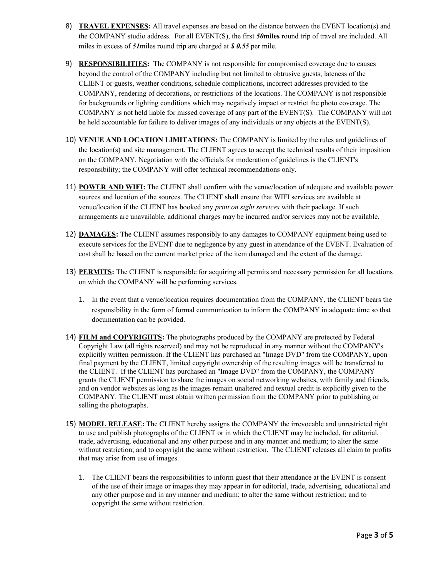- 8) **TRAVEL EXPENSES:** All travel expenses are based on the distance between the EVENT location(s) and the COMPANY studio address. For all EVENT(S), the first *50***miles** round trip of travel are included. All miles in excess of *51*miles round trip are charged at *\$ 0.55* per mile.
- 9) **RESPONSIBILITIES:** The COMPANY is not responsible for compromised coverage due to causes beyond the control of the COMPANY including but not limited to obtrusive guests, lateness of the CLIENT or guests, weather conditions, schedule complications, incorrect addresses provided to the COMPANY, rendering of decorations, or restrictions of the locations. The COMPANY is not responsible for backgrounds or lighting conditions which may negatively impact or restrict the photo coverage. The COMPANY is not held liable for missed coverage of any part of the EVENT(S). The COMPANY will not be held accountable for failure to deliver images of any individuals or any objects at the EVENT(S).
- 10) **VENUE AND LOCATION LIMITATIONS:** The COMPANY is limited by the rules and guidelines of the location(s) and site management. The CLIENT agrees to accept the technical results of their imposition on the COMPANY. Negotiation with the officials for moderation of guidelines is the CLIENT's responsibility; the COMPANY will offer technical recommendations only.
- 11) **POWER AND WIFI:** The CLIENT shall confirm with the venue/location of adequate and available power sources and location of the sources. The CLIENT shall ensure that WIFI services are available at venue/location if the CLIENT has booked any *print on sight services* with their package. If such arrangements are unavailable, additional charges may be incurred and/or services may not be available.
- 12) **DAMAGES:** The CLIENT assumes responsibly to any damages to COMPANY equipment being used to execute services for the EVENT due to negligence by any guest in attendance of the EVENT. Evaluation of cost shall be based on the current market price of the item damaged and the extent of the damage.
- 13) **PERMITS:** The CLIENT is responsible for acquiring all permits and necessary permission for all locations on which the COMPANY will be performing services.
	- 1. In the event that a venue/location requires documentation from the COMPANY, the CLIENT bears the responsibility in the form of formal communication to inform the COMPANY in adequate time so that documentation can be provided.
- 14) **FILM and COPYRIGHTS:** The photographs produced by the COMPANY are protected by Federal Copyright Law (all rights reserved) and may not be reproduced in any manner without the COMPANY's explicitly written permission. If the CLIENT has purchased an "Image DVD" from the COMPANY, upon final payment by the CLIENT, limited copyright ownership of the resulting images will be transferred to the CLIENT. If the CLIENT has purchased an "Image DVD" from the COMPANY, the COMPANY grants the CLIENT permission to share the images on social networking websites, with family and friends, and on vendor websites as long as the images remain unaltered and textual credit is explicitly given to the COMPANY. The CLIENT must obtain written permission from the COMPANY prior to publishing or selling the photographs.
- 15) **MODEL RELEASE:** The CLIENT hereby assigns the COMPANY the irrevocable and unrestricted right to use and publish photographs of the CLIENT or in which the CLIENT may be included, for editorial, trade, advertising, educational and any other purpose and in any manner and medium; to alter the same without restriction; and to copyright the same without restriction. The CLIENT releases all claim to profits that may arise from use of images.
	- 1. The CLIENT bears the responsibilities to inform guest that their attendance at the EVENT is consent of the use of their image or images they may appear in for editorial, trade, advertising, educational and any other purpose and in any manner and medium; to alter the same without restriction; and to copyright the same without restriction.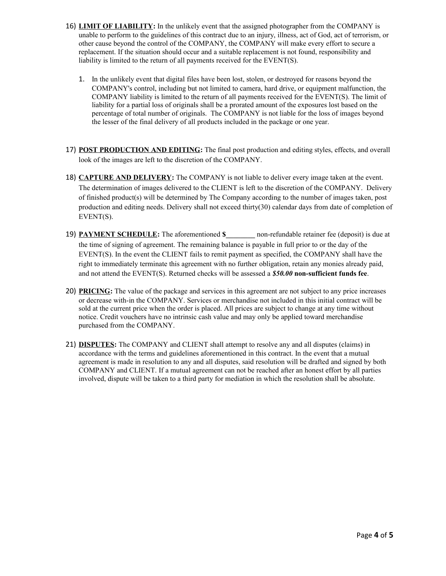- 16) **LIMIT OF LIABILITY:** In the unlikely event that the assigned photographer from the COMPANY is unable to perform to the guidelines of this contract due to an injury, illness, act of God, act of terrorism, or other cause beyond the control of the COMPANY, the COMPANY will make every effort to secure a replacement. If the situation should occur and a suitable replacement is not found, responsibility and liability is limited to the return of all payments received for the EVENT(S).
	- 1. In the unlikely event that digital files have been lost, stolen, or destroyed for reasons beyond the COMPANY's control, including but not limited to camera, hard drive, or equipment malfunction, the COMPANY liability is limited to the return of all payments received for the EVENT(S). The limit of liability for a partial loss of originals shall be a prorated amount of the exposures lost based on the percentage of total number of originals. The COMPANY is not liable for the loss of images beyond the lesser of the final delivery of all products included in the package or one year.
- 17) **POST PRODUCTION AND EDITING:** The final post production and editing styles, effects, and overall look of the images are left to the discretion of the COMPANY.
- 18) **CAPTURE AND DELIVERY:** The COMPANY is not liable to deliver every image taken at the event. The determination of images delivered to the CLIENT is left to the discretion of the COMPANY. Delivery of finished product(s) will be determined by The Company according to the number of images taken, post production and editing needs. Delivery shall not exceed thirty(30) calendar days from date of completion of EVENT(S).
- 19) **PAYMENT SCHEDULE:** The aforementioned \$ non-refundable retainer fee (deposit) is due at the time of signing of agreement. The remaining balance is payable in full prior to or the day of the EVENT(S). In the event the CLIENT fails to remit payment as specified, the COMPANY shall have the right to immediately terminate this agreement with no further obligation, retain any monies already paid, and not attend the EVENT(S). Returned checks will be assessed a *\$50.00* **non-sufficient funds fee**.
- 20) **PRICING:** The value of the package and services in this agreement are not subject to any price increases or decrease with-in the COMPANY. Services or merchandise not included in this initial contract will be sold at the current price when the order is placed. All prices are subject to change at any time without notice. Credit vouchers have no intrinsic cash value and may only be applied toward merchandise purchased from the COMPANY.
- 21) **DISPUTES:** The COMPANY and CLIENT shall attempt to resolve any and all disputes (claims) in accordance with the terms and guidelines aforementioned in this contract. In the event that a mutual agreement is made in resolution to any and all disputes, said resolution will be drafted and signed by both COMPANY and CLIENT. If a mutual agreement can not be reached after an honest effort by all parties involved, dispute will be taken to a third party for mediation in which the resolution shall be absolute.